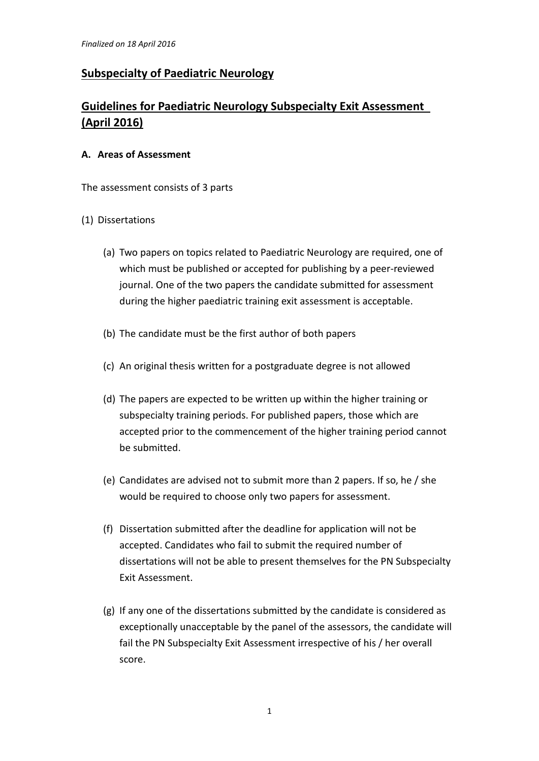# **Subspecialty of Paediatric Neurology**

# **Guidelines for Paediatric Neurology Subspecialty Exit Assessment (April 2016)**

#### **A. Areas of Assessment**

The assessment consists of 3 parts

# (1) Dissertations

- (a) Two papers on topics related to Paediatric Neurology are required, one of which must be published or accepted for publishing by a peer-reviewed journal. One of the two papers the candidate submitted for assessment during the higher paediatric training exit assessment is acceptable.
- (b) The candidate must be the first author of both papers
- (c) An original thesis written for a postgraduate degree is not allowed
- (d) The papers are expected to be written up within the higher training or subspecialty training periods. For published papers, those which are accepted prior to the commencement of the higher training period cannot be submitted.
- (e) Candidates are advised not to submit more than 2 papers. If so, he / she would be required to choose only two papers for assessment.
- (f) Dissertation submitted after the deadline for application will not be accepted. Candidates who fail to submit the required number of dissertations will not be able to present themselves for the PN Subspecialty Exit Assessment.
- (g) If any one of the dissertations submitted by the candidate is considered as exceptionally unacceptable by the panel of the assessors, the candidate will fail the PN Subspecialty Exit Assessment irrespective of his / her overall score.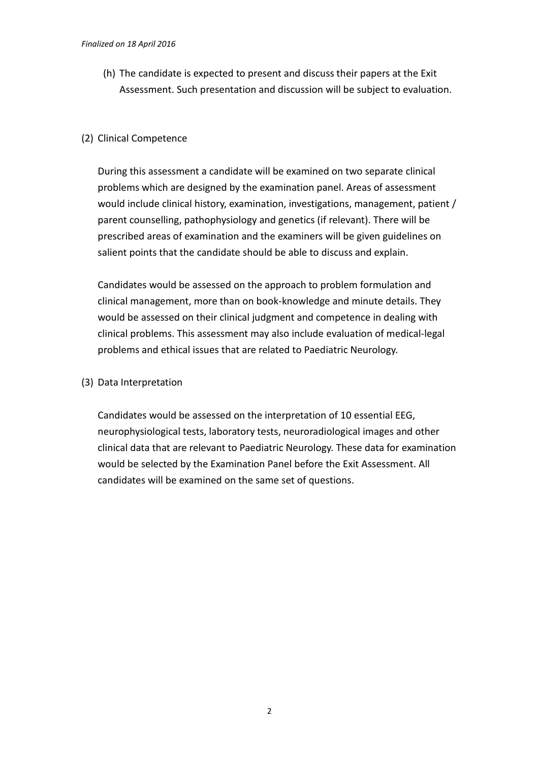(h) The candidate is expected to present and discuss their papers at the Exit Assessment. Such presentation and discussion will be subject to evaluation.

#### (2) Clinical Competence

During this assessment a candidate will be examined on two separate clinical problems which are designed by the examination panel. Areas of assessment would include clinical history, examination, investigations, management, patient / parent counselling, pathophysiology and genetics (if relevant). There will be prescribed areas of examination and the examiners will be given guidelines on salient points that the candidate should be able to discuss and explain.

Candidates would be assessed on the approach to problem formulation and clinical management, more than on book-knowledge and minute details. They would be assessed on their clinical judgment and competence in dealing with clinical problems. This assessment may also include evaluation of medical-legal problems and ethical issues that are related to Paediatric Neurology.

(3) Data Interpretation

Candidates would be assessed on the interpretation of 10 essential EEG, neurophysiological tests, laboratory tests, neuroradiological images and other clinical data that are relevant to Paediatric Neurology. These data for examination would be selected by the Examination Panel before the Exit Assessment. All candidates will be examined on the same set of questions.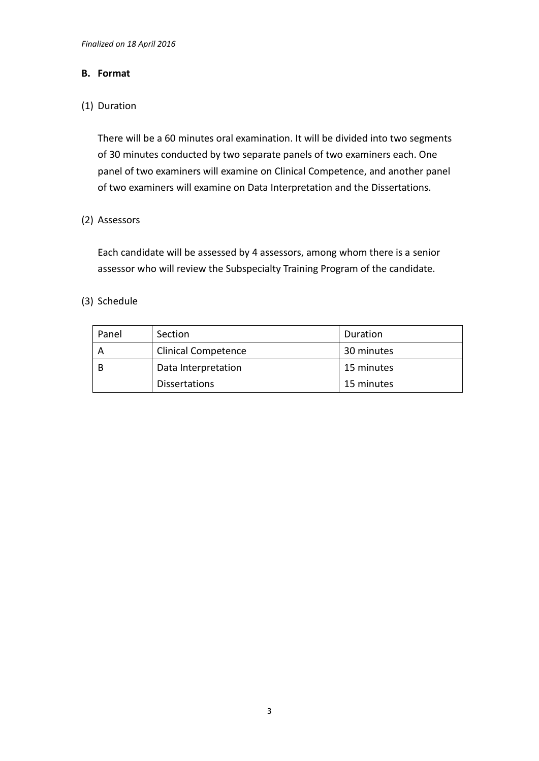#### **B. Format**

# (1) Duration

There will be a 60 minutes oral examination. It will be divided into two segments of 30 minutes conducted by two separate panels of two examiners each. One panel of two examiners will examine on Clinical Competence, and another panel of two examiners will examine on Data Interpretation and the Dissertations.

# (2) Assessors

Each candidate will be assessed by 4 assessors, among whom there is a senior assessor who will review the Subspecialty Training Program of the candidate.

# (3) Schedule

| Panel | Section                    | Duration   |  |
|-------|----------------------------|------------|--|
| A     | <b>Clinical Competence</b> | 30 minutes |  |
| - B   | Data Interpretation        | 15 minutes |  |
|       | <b>Dissertations</b>       | 15 minutes |  |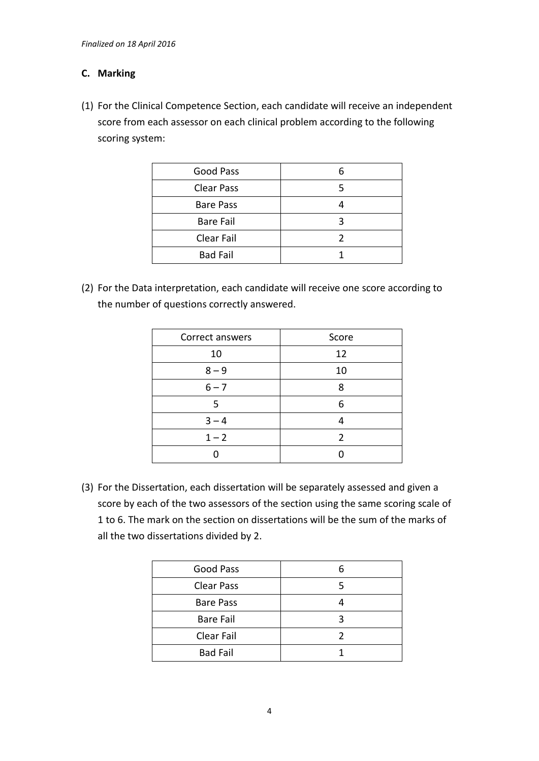# **C. Marking**

(1) For the Clinical Competence Section, each candidate will receive an independent score from each assessor on each clinical problem according to the following scoring system:

| <b>Good Pass</b>  | 6 |  |
|-------------------|---|--|
| <b>Clear Pass</b> |   |  |
| <b>Bare Pass</b>  |   |  |
| <b>Bare Fail</b>  | ς |  |
| Clear Fail        |   |  |
| <b>Bad Fail</b>   |   |  |

(2) For the Data interpretation, each candidate will receive one score according to the number of questions correctly answered.

| Correct answers | Score         |  |
|-----------------|---------------|--|
| 10              | 12            |  |
| $8 - 9$         | 10            |  |
| $6 - 7$         | ጸ             |  |
| 5               | 6             |  |
| $3 - 4$         |               |  |
| $1 - 2$         | $\mathfrak z$ |  |
|                 |               |  |

(3) For the Dissertation, each dissertation will be separately assessed and given a score by each of the two assessors of the section using the same scoring scale of 1 to 6. The mark on the section on dissertations will be the sum of the marks of all the two dissertations divided by 2.

| Good Pass         |  |
|-------------------|--|
| <b>Clear Pass</b> |  |
| <b>Bare Pass</b>  |  |
| <b>Bare Fail</b>  |  |
| Clear Fail        |  |
| <b>Bad Fail</b>   |  |